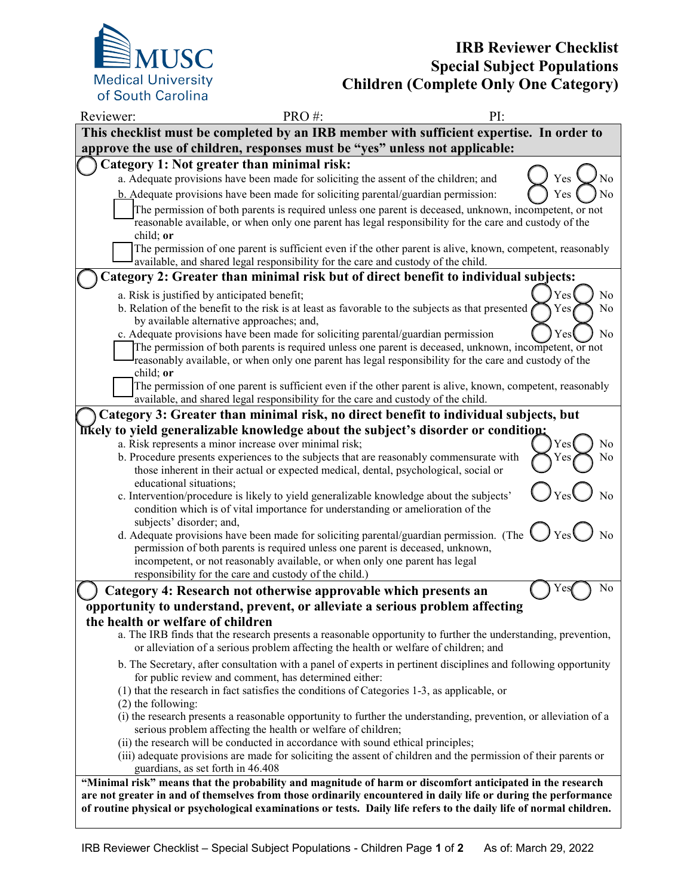

## **IRB Reviewer Checklist Special Subject Populations Children (Complete Only One Category)**

| Reviewer:                                                                                                                                                                                                                             | PRO#:<br>PI:                                                                                                                                                                                                                                                                                                       |                         |  |
|---------------------------------------------------------------------------------------------------------------------------------------------------------------------------------------------------------------------------------------|--------------------------------------------------------------------------------------------------------------------------------------------------------------------------------------------------------------------------------------------------------------------------------------------------------------------|-------------------------|--|
| This checklist must be completed by an IRB member with sufficient expertise. In order to                                                                                                                                              |                                                                                                                                                                                                                                                                                                                    |                         |  |
| approve the use of children, responses must be "yes" unless not applicable:                                                                                                                                                           |                                                                                                                                                                                                                                                                                                                    |                         |  |
|                                                                                                                                                                                                                                       | Category 1: Not greater than minimal risk:                                                                                                                                                                                                                                                                         |                         |  |
|                                                                                                                                                                                                                                       | a. Adequate provisions have been made for soliciting the assent of the children; and                                                                                                                                                                                                                               | No<br>Yes               |  |
|                                                                                                                                                                                                                                       | b. Adequate provisions have been made for soliciting parental/guardian permission:                                                                                                                                                                                                                                 | No<br>Yes               |  |
|                                                                                                                                                                                                                                       | The permission of both parents is required unless one parent is deceased, unknown, incompetent, or not<br>reasonable available, or when only one parent has legal responsibility for the care and custody of the<br>child; or                                                                                      |                         |  |
| The permission of one parent is sufficient even if the other parent is alive, known, competent, reasonably<br>available, and shared legal responsibility for the care and custody of the child.                                       |                                                                                                                                                                                                                                                                                                                    |                         |  |
| Category 2: Greater than minimal risk but of direct benefit to individual subjects:                                                                                                                                                   |                                                                                                                                                                                                                                                                                                                    |                         |  |
|                                                                                                                                                                                                                                       | a. Risk is justified by anticipated benefit;                                                                                                                                                                                                                                                                       | Yes<br>No               |  |
|                                                                                                                                                                                                                                       | b. Relation of the benefit to the risk is at least as favorable to the subjects as that presented<br>by available alternative approaches; and,                                                                                                                                                                     | No<br>Yes               |  |
|                                                                                                                                                                                                                                       | c. Adequate provisions have been made for soliciting parental/guardian permission<br>The permission of both parents is required unless one parent is deceased, unknown, incompetent, or not<br>reasonably available, or when only one parent has legal responsibility for the care and custody of the<br>child; or | No<br>Yes               |  |
|                                                                                                                                                                                                                                       | The permission of one parent is sufficient even if the other parent is alive, known, competent, reasonably<br>available, and shared legal responsibility for the care and custody of the child.                                                                                                                    |                         |  |
| Category 3: Greater than minimal risk, no direct benefit to individual subjects, but                                                                                                                                                  |                                                                                                                                                                                                                                                                                                                    |                         |  |
|                                                                                                                                                                                                                                       | likely to yield generalizable knowledge about the subject's disorder or condition:                                                                                                                                                                                                                                 |                         |  |
|                                                                                                                                                                                                                                       | a. Risk represents a minor increase over minimal risk;<br>b. Procedure presents experiences to the subjects that are reasonably commensurate with<br>those inherent in their actual or expected medical, dental, psychological, social or                                                                          | Yes<br>No<br>No<br>Y es |  |
|                                                                                                                                                                                                                                       | educational situations;<br>c. Intervention/procedure is likely to yield generalizable knowledge about the subjects'<br>condition which is of vital importance for understanding or amelioration of the<br>subjects' disorder; and,                                                                                 | No                      |  |
|                                                                                                                                                                                                                                       | d. Adequate provisions have been made for soliciting parental/guardian permission. (The<br>permission of both parents is required unless one parent is deceased, unknown,<br>incompetent, or not reasonably available, or when only one parent has legal<br>responsibility for the care and custody of the child.) | No                      |  |
|                                                                                                                                                                                                                                       | Category 4: Research not otherwise approvable which presents an                                                                                                                                                                                                                                                    | No                      |  |
| opportunity to understand, prevent, or alleviate a serious problem affecting                                                                                                                                                          |                                                                                                                                                                                                                                                                                                                    |                         |  |
| the health or welfare of children                                                                                                                                                                                                     |                                                                                                                                                                                                                                                                                                                    |                         |  |
|                                                                                                                                                                                                                                       | a. The IRB finds that the research presents a reasonable opportunity to further the understanding, prevention,<br>or alleviation of a serious problem affecting the health or welfare of children; and                                                                                                             |                         |  |
|                                                                                                                                                                                                                                       | b. The Secretary, after consultation with a panel of experts in pertinent disciplines and following opportunity<br>for public review and comment, has determined either:                                                                                                                                           |                         |  |
|                                                                                                                                                                                                                                       | (1) that the research in fact satisfies the conditions of Categories 1-3, as applicable, or<br>$(2)$ the following:                                                                                                                                                                                                |                         |  |
| (i) the research presents a reasonable opportunity to further the understanding, prevention, or alleviation of a<br>serious problem affecting the health or welfare of children;                                                      |                                                                                                                                                                                                                                                                                                                    |                         |  |
|                                                                                                                                                                                                                                       | (ii) the research will be conducted in accordance with sound ethical principles;<br>(iii) adequate provisions are made for soliciting the assent of children and the permission of their parents or<br>guardians, as set forth in 46.408                                                                           |                         |  |
| "Minimal risk" means that the probability and magnitude of harm or discomfort anticipated in the research                                                                                                                             |                                                                                                                                                                                                                                                                                                                    |                         |  |
| are not greater in and of themselves from those ordinarily encountered in daily life or during the performance<br>of routine physical or psychological examinations or tests. Daily life refers to the daily life of normal children. |                                                                                                                                                                                                                                                                                                                    |                         |  |
|                                                                                                                                                                                                                                       |                                                                                                                                                                                                                                                                                                                    |                         |  |